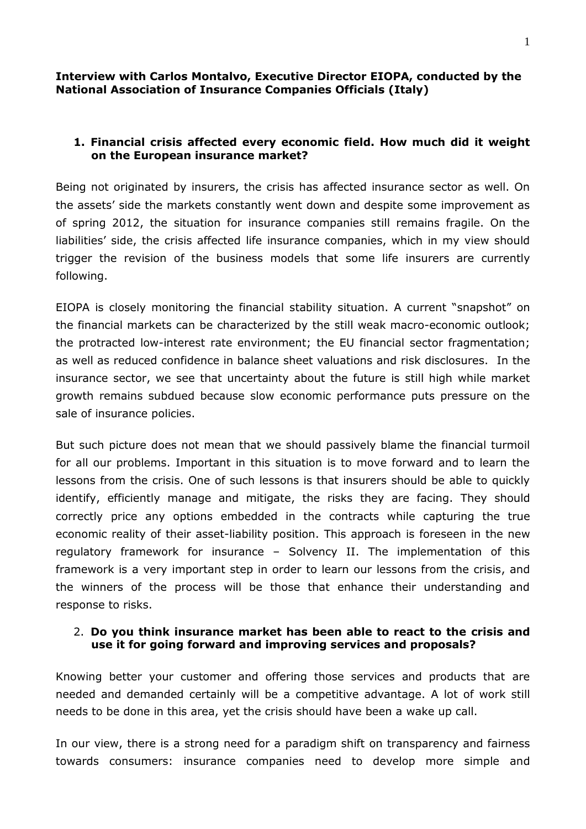#### **Interview with Carlos Montalvo, Executive Director EIOPA, conducted by the National Association of Insurance Companies Officials (Italy)**

# **1. Financial crisis affected every economic field. How much did it weight on the European insurance market?**

Being not originated by insurers, the crisis has affected insurance sector as well. On the assets' side the markets constantly went down and despite some improvement as of spring 2012, the situation for insurance companies still remains fragile. On the liabilities' side, the crisis affected life insurance companies, which in my view should trigger the revision of the business models that some life insurers are currently following.

EIOPA is closely monitoring the financial stability situation. A current "snapshot" on the financial markets can be characterized by the still weak macro-economic outlook; the protracted low-interest rate environment; the EU financial sector fragmentation; as well as reduced confidence in balance sheet valuations and risk disclosures. In the insurance sector, we see that uncertainty about the future is still high while market growth remains subdued because slow economic performance puts pressure on the sale of insurance policies.

But such picture does not mean that we should passively blame the financial turmoil for all our problems. Important in this situation is to move forward and to learn the lessons from the crisis. One of such lessons is that insurers should be able to quickly identify, efficiently manage and mitigate, the risks they are facing. They should correctly price any options embedded in the contracts while capturing the true economic reality of their asset-liability position. This approach is foreseen in the new regulatory framework for insurance – Solvency II. The implementation of this framework is a very important step in order to learn our lessons from the crisis, and the winners of the process will be those that enhance their understanding and response to risks.

# 2. **Do you think insurance market has been able to react to the crisis and use it for going forward and improving services and proposals?**

Knowing better your customer and offering those services and products that are needed and demanded certainly will be a competitive advantage. A lot of work still needs to be done in this area, yet the crisis should have been a wake up call.

In our view, there is a strong need for a paradigm shift on transparency and fairness towards consumers: insurance companies need to develop more simple and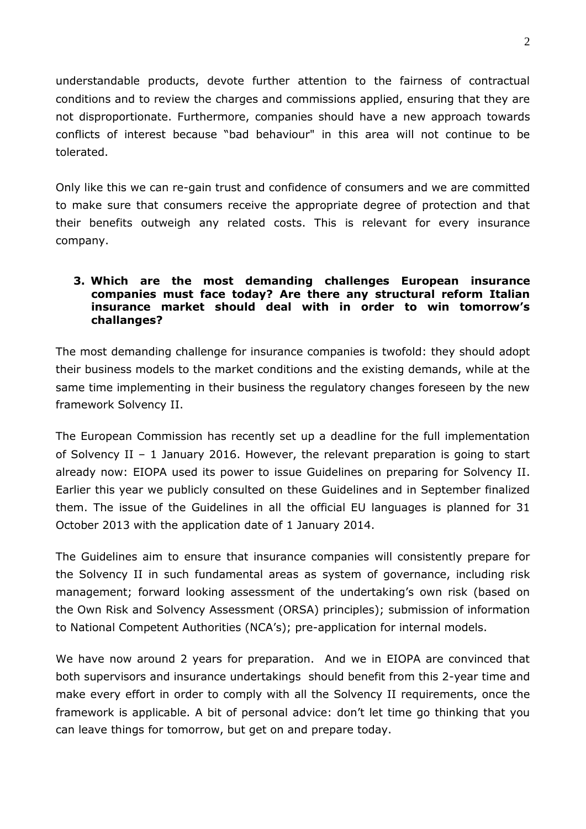understandable products, devote further attention to the fairness of contractual conditions and to review the charges and commissions applied, ensuring that they are not disproportionate. Furthermore, companies should have a new approach towards conflicts of interest because "bad behaviour" in this area will not continue to be tolerated.

Only like this we can re-gain trust and confidence of consumers and we are committed to make sure that consumers receive the appropriate degree of protection and that their benefits outweigh any related costs. This is relevant for every insurance company.

### **3. Which are the most demanding challenges European insurance companies must face today? Are there any structural reform Italian insurance market should deal with in order to win tomorrow's challanges?**

The most demanding challenge for insurance companies is twofold: they should adopt their business models to the market conditions and the existing demands, while at the same time implementing in their business the regulatory changes foreseen by the new framework Solvency II.

The European Commission has recently set up a deadline for the full implementation of Solvency II – 1 January 2016. However, the relevant preparation is going to start already now: EIOPA used its power to issue Guidelines on preparing for Solvency II. Earlier this year we publicly consulted on these Guidelines and in September finalized them. The issue of the Guidelines in all the official EU languages is planned for 31 October 2013 with the application date of 1 January 2014.

The Guidelines aim to ensure that insurance companies will consistently prepare for the Solvency II in such fundamental areas as system of governance, including risk management; forward looking assessment of the undertaking's own risk (based on the Own Risk and Solvency Assessment (ORSA) principles); submission of information to National Competent Authorities (NCA's); pre-application for internal models.

We have now around 2 years for preparation. And we in EIOPA are convinced that both supervisors and insurance undertakings should benefit from this 2-year time and make every effort in order to comply with all the Solvency II requirements, once the framework is applicable. A bit of personal advice: don't let time go thinking that you can leave things for tomorrow, but get on and prepare today.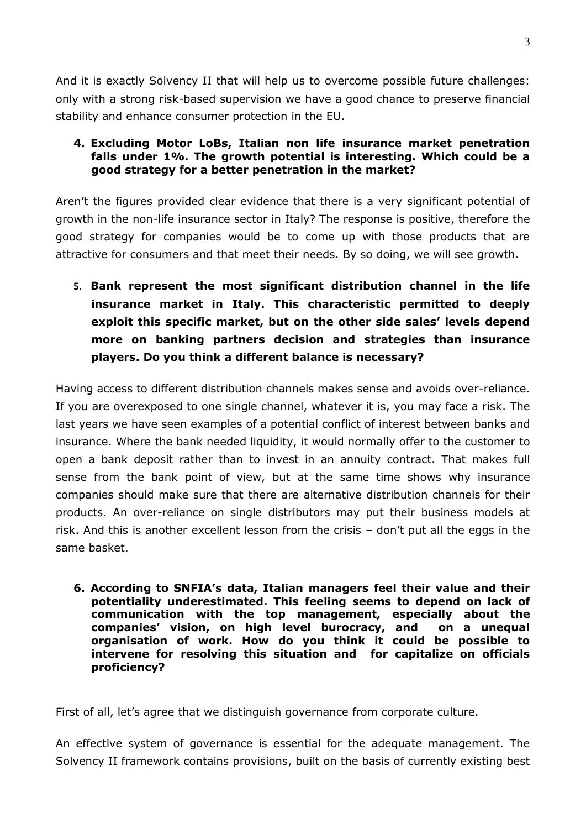And it is exactly Solvency II that will help us to overcome possible future challenges: only with a strong risk-based supervision we have a good chance to preserve financial stability and enhance consumer protection in the EU.

## **4. Excluding Motor LoBs, Italian non life insurance market penetration falls under 1%. The growth potential is interesting. Which could be a good strategy for a better penetration in the market?**

Aren't the figures provided clear evidence that there is a very significant potential of growth in the non-life insurance sector in Italy? The response is positive, therefore the good strategy for companies would be to come up with those products that are attractive for consumers and that meet their needs. By so doing, we will see growth.

**5. Bank represent the most significant distribution channel in the life insurance market in Italy. This characteristic permitted to deeply exploit this specific market, but on the other side sales' levels depend more on banking partners decision and strategies than insurance players. Do you think a different balance is necessary?**

Having access to different distribution channels makes sense and avoids over-reliance. If you are overexposed to one single channel, whatever it is, you may face a risk. The last years we have seen examples of a potential conflict of interest between banks and insurance. Where the bank needed liquidity, it would normally offer to the customer to open a bank deposit rather than to invest in an annuity contract. That makes full sense from the bank point of view, but at the same time shows why insurance companies should make sure that there are alternative distribution channels for their products. An over-reliance on single distributors may put their business models at risk. And this is another excellent lesson from the crisis – don't put all the eggs in the same basket.

**6. According to SNFIA's data, Italian managers feel their value and their potentiality underestimated. This feeling seems to depend on lack of communication with the top management, especially about the companies' vision, on high level burocracy, and on a unequal organisation of work. How do you think it could be possible to intervene for resolving this situation and for capitalize on officials proficiency?** 

First of all, let's agree that we distinguish governance from corporate culture.

An effective system of governance is essential for the adequate management. The Solvency II framework contains provisions, built on the basis of currently existing best